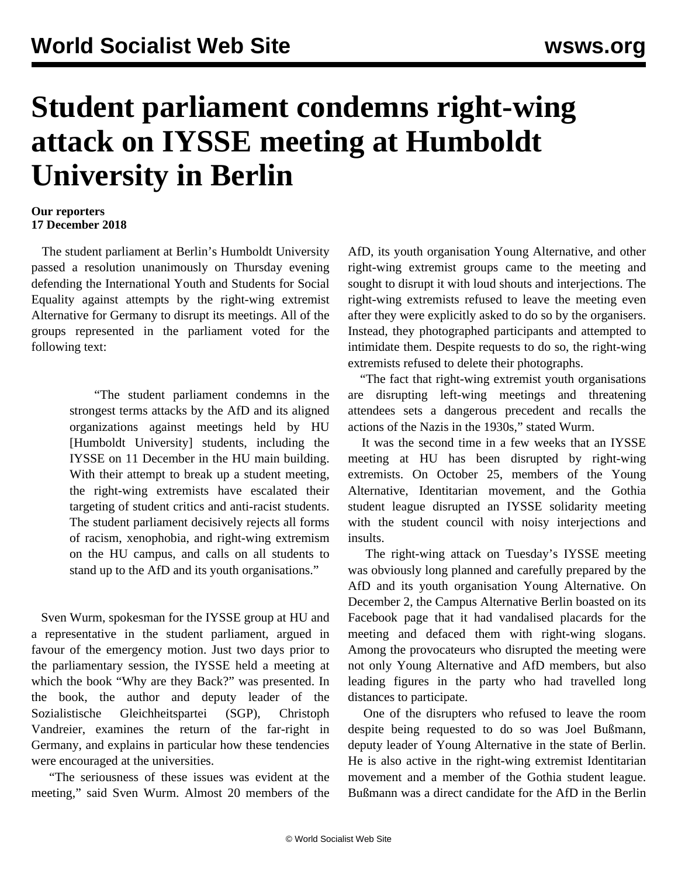## **Student parliament condemns right-wing attack on IYSSE meeting at Humboldt University in Berlin**

## **Our reporters 17 December 2018**

 The student parliament at Berlin's Humboldt University passed a resolution unanimously on Thursday evening defending the International Youth and Students for Social Equality against attempts by the right-wing extremist Alternative for Germany to disrupt its meetings. All of the groups represented in the parliament voted for the following text:

> "The student parliament condemns in the strongest terms attacks by the AfD and its aligned organizations against meetings held by HU [Humboldt University] students, including the IYSSE on 11 December in the HU main building. With their attempt to break up a student meeting, the right-wing extremists have escalated their targeting of student critics and anti-racist students. The student parliament decisively rejects all forms of racism, xenophobia, and right-wing extremism on the HU campus, and calls on all students to stand up to the AfD and its youth organisations."

 Sven Wurm, spokesman for the IYSSE group at HU and a representative in the student parliament, argued in favour of the emergency motion. Just two days prior to the parliamentary session, the IYSSE held a meeting at which the book ["Why are they Back?"](/en/articles/2018/10/19/book-o19.html) was presented. In the book, the author and deputy leader of the Sozialistische Gleichheitspartei (SGP), Christoph Vandreier, examines the return of the far-right in Germany, and explains in particular how these tendencies were encouraged at the universities.

 "The seriousness of these issues was evident at the meeting," said Sven Wurm. Almost 20 members of the

AfD, its youth organisation Young Alternative, and other right-wing extremist groups came to the meeting and sought to disrupt it with loud shouts and interjections. The right-wing extremists refused to leave the meeting even after they were explicitly asked to do so by the organisers. Instead, they photographed participants and attempted to intimidate them. Despite requests to do so, the right-wing extremists refused to delete their photographs.

 "The fact that right-wing extremist youth organisations are disrupting left-wing meetings and threatening attendees sets a dangerous precedent and recalls the actions of the Nazis in the 1930s," stated Wurm.

 It was the second time in a few weeks that an IYSSE meeting at HU has been disrupted by right-wing extremists. On October 25, members of the Young Alternative, Identitarian movement, and the Gothia student league disrupted an IYSSE solidarity meeting with the student council with noisy interjections and insults.

 The right-wing attack on Tuesday's IYSSE meeting was obviously long planned and carefully prepared by the AfD and its youth organisation Young Alternative. On December 2, the Campus Alternative Berlin boasted on its Facebook page that it had vandalised placards for the meeting and defaced them with right-wing slogans. Among the provocateurs who disrupted the meeting were not only Young Alternative and AfD members, but also leading figures in the party who had travelled long distances to participate.

 One of the disrupters who refused to leave the room despite being requested to do so was Joel Bußmann, deputy leader of Young Alternative in the state of Berlin. He is also active in the right-wing extremist Identitarian movement and a member of the Gothia student league. Bußmann was a direct candidate for the AfD in the Berlin